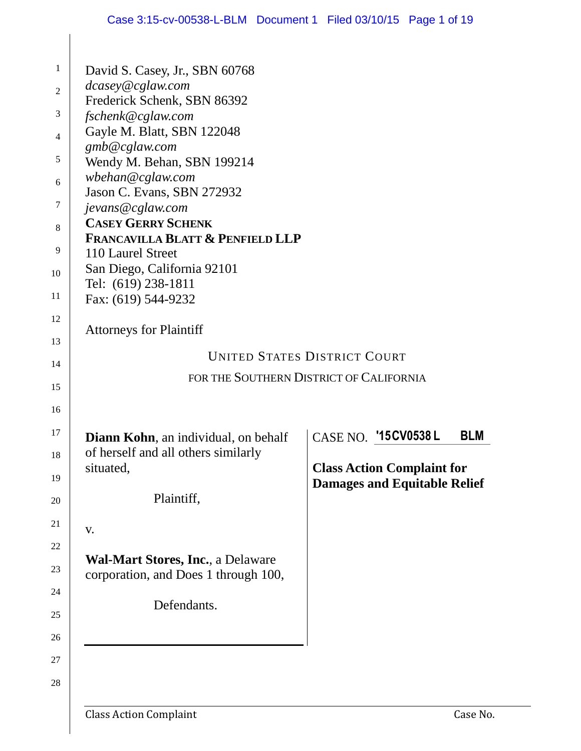| $\mathbf{1}$<br>2<br>3<br>4<br>5<br>6<br>7<br>8<br>9<br>10<br>11<br>12 | David S. Casey, Jr., SBN 60768<br>dcasey@cglaw.com<br>Frederick Schenk, SBN 86392<br>fschenk@cglaw.com<br>Gayle M. Blatt, SBN 122048<br>gmb@cglaw.com<br>Wendy M. Behan, SBN 199214<br>wbehan@cglaw.com<br>Jason C. Evans, SBN 272932<br>jevans@cglaw.com<br><b>CASEY GERRY SCHENK</b><br><b>FRANCAVILLA BLATT &amp; PENFIELD LLP</b><br>110 Laurel Street<br>San Diego, California 92101<br>Tel: (619) 238-1811<br>Fax: (619) 544-9232<br><b>Attorneys for Plaintiff</b> |                                                                                                               |
|------------------------------------------------------------------------|---------------------------------------------------------------------------------------------------------------------------------------------------------------------------------------------------------------------------------------------------------------------------------------------------------------------------------------------------------------------------------------------------------------------------------------------------------------------------|---------------------------------------------------------------------------------------------------------------|
| 13<br>14<br>15                                                         |                                                                                                                                                                                                                                                                                                                                                                                                                                                                           | <b>UNITED STATES DISTRICT COURT</b><br>FOR THE SOUTHERN DISTRICT OF CALIFORNIA                                |
| 16<br>17<br>18<br>19<br>20<br>21<br>22<br>23<br>24                     | <b>Diann Kohn</b> , an individual, on behalf<br>of herself and all others similarly<br>situated,<br>Plaintiff,<br>V.<br>Wal-Mart Stores, Inc., a Delaware<br>corporation, and Does 1 through 100,<br>Defendants.                                                                                                                                                                                                                                                          | <b>BLM</b><br>CASE NO. '15CV0538L<br><b>Class Action Complaint for</b><br><b>Damages and Equitable Relief</b> |
| 25<br>26<br>27<br>28                                                   | <b>Class Action Complaint</b>                                                                                                                                                                                                                                                                                                                                                                                                                                             | Case No.                                                                                                      |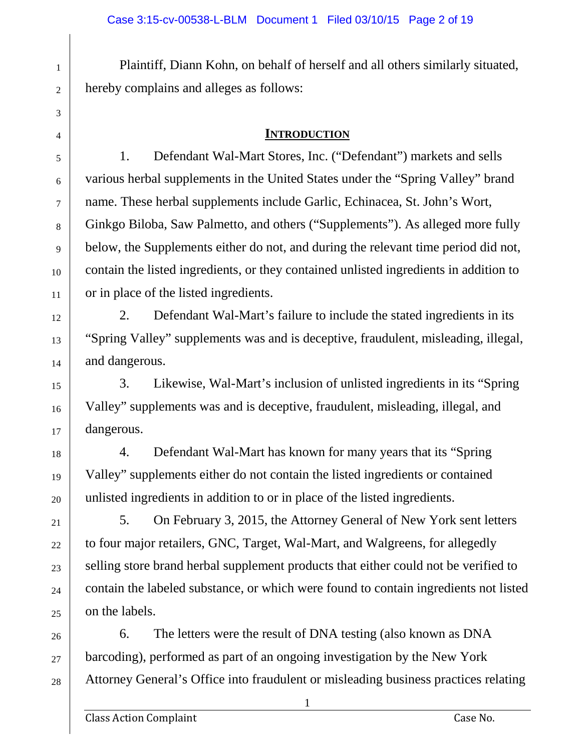Plaintiff, Diann Kohn, on behalf of herself and all others similarly situated, hereby complains and alleges as follows:

#### **INTRODUCTION**

1. Defendant Wal-Mart Stores, Inc. ("Defendant") markets and sells various herbal supplements in the United States under the "Spring Valley" brand name. These herbal supplements include Garlic, Echinacea, St. John's Wort, Ginkgo Biloba, Saw Palmetto, and others ("Supplements"). As alleged more fully below, the Supplements either do not, and during the relevant time period did not, contain the listed ingredients, or they contained unlisted ingredients in addition to or in place of the listed ingredients.

2. Defendant Wal-Mart's failure to include the stated ingredients in its "Spring Valley" supplements was and is deceptive, fraudulent, misleading, illegal, and dangerous.

3. Likewise, Wal-Mart's inclusion of unlisted ingredients in its "Spring Valley" supplements was and is deceptive, fraudulent, misleading, illegal, and dangerous.

4. Defendant Wal-Mart has known for many years that its "Spring Valley" supplements either do not contain the listed ingredients or contained unlisted ingredients in addition to or in place of the listed ingredients.

5. On February 3, 2015, the Attorney General of New York sent letters to four major retailers, GNC, Target, Wal-Mart, and Walgreens, for allegedly selling store brand herbal supplement products that either could not be verified to contain the labeled substance, or which were found to contain ingredients not listed on the labels.

6. The letters were the result of DNA testing (also known as DNA barcoding), performed as part of an ongoing investigation by the New York Attorney General's Office into fraudulent or misleading business practices relating

1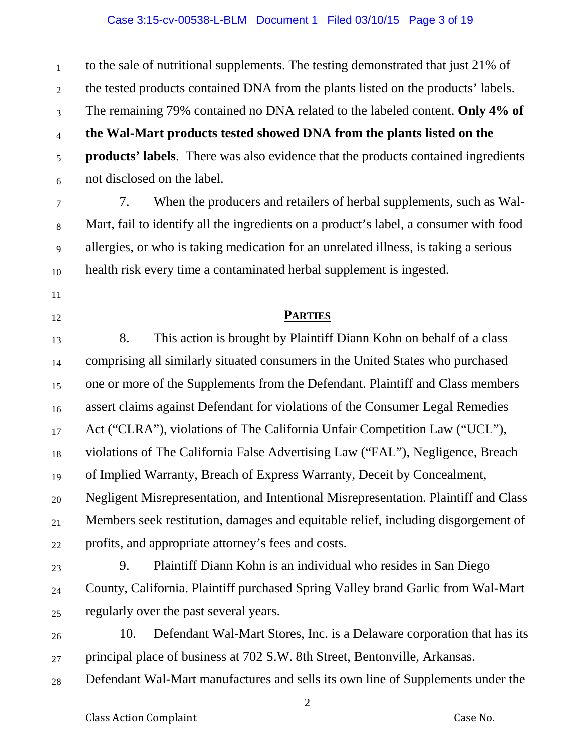to the sale of nutritional supplements. The testing demonstrated that just 21% of the tested products contained DNA from the plants listed on the products' labels. The remaining 79% contained no DNA related to the labeled content. **Only 4% of the Wal-Mart products tested showed DNA from the plants listed on the products' labels**. There was also evidence that the products contained ingredients not disclosed on the label.

7. When the producers and retailers of herbal supplements, such as Wal-Mart, fail to identify all the ingredients on a product's label, a consumer with food allergies, or who is taking medication for an unrelated illness, is taking a serious health risk every time a contaminated herbal supplement is ingested.

#### **PARTIES**

8. This action is brought by Plaintiff Diann Kohn on behalf of a class comprising all similarly situated consumers in the United States who purchased one or more of the Supplements from the Defendant. Plaintiff and Class members assert claims against Defendant for violations of the Consumer Legal Remedies Act ("CLRA"), violations of The California Unfair Competition Law ("UCL"), violations of The California False Advertising Law ("FAL"), Negligence, Breach of Implied Warranty, Breach of Express Warranty, Deceit by Concealment, Negligent Misrepresentation, and Intentional Misrepresentation. Plaintiff and Class Members seek restitution, damages and equitable relief, including disgorgement of profits, and appropriate attorney's fees and costs.

9. Plaintiff Diann Kohn is an individual who resides in San Diego County, California. Plaintiff purchased Spring Valley brand Garlic from Wal-Mart regularly over the past several years.

10. Defendant Wal-Mart Stores, Inc. is a Delaware corporation that has its principal place of business at 702 S.W. 8th Street, Bentonville, Arkansas. Defendant Wal-Mart manufactures and sells its own line of Supplements under the

2

1

2

3

4

5

6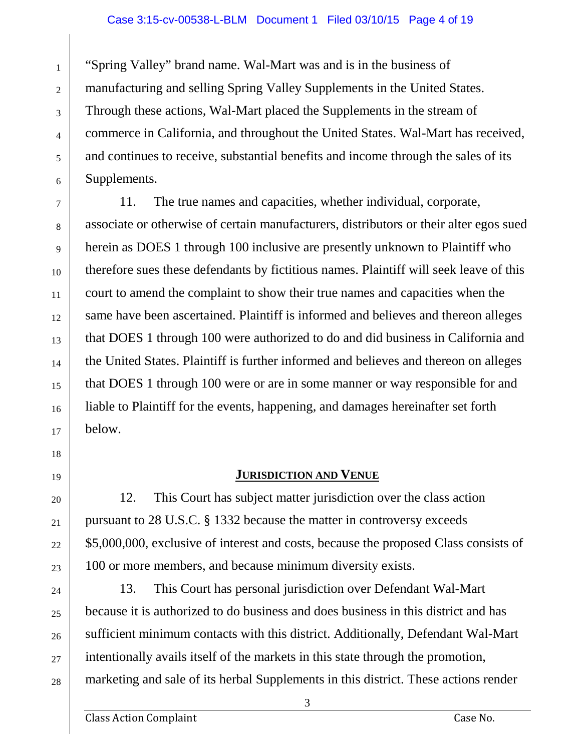"Spring Valley" brand name. Wal-Mart was and is in the business of manufacturing and selling Spring Valley Supplements in the United States. Through these actions, Wal-Mart placed the Supplements in the stream of commerce in California, and throughout the United States. Wal-Mart has received, and continues to receive, substantial benefits and income through the sales of its Supplements.

11. The true names and capacities, whether individual, corporate, associate or otherwise of certain manufacturers, distributors or their alter egos sued herein as DOES 1 through 100 inclusive are presently unknown to Plaintiff who therefore sues these defendants by fictitious names. Plaintiff will seek leave of this court to amend the complaint to show their true names and capacities when the same have been ascertained. Plaintiff is informed and believes and thereon alleges that DOES 1 through 100 were authorized to do and did business in California and the United States. Plaintiff is further informed and believes and thereon on alleges that DOES 1 through 100 were or are in some manner or way responsible for and liable to Plaintiff for the events, happening, and damages hereinafter set forth below.

#### **JURISDICTION AND VENUE**

12. This Court has subject matter jurisdiction over the class action pursuant to 28 U.S.C. § 1332 because the matter in controversy exceeds \$5,000,000, exclusive of interest and costs, because the proposed Class consists of 100 or more members, and because minimum diversity exists.

13. This Court has personal jurisdiction over Defendant Wal-Mart because it is authorized to do business and does business in this district and has sufficient minimum contacts with this district. Additionally, Defendant Wal-Mart intentionally avails itself of the markets in this state through the promotion, marketing and sale of its herbal Supplements in this district. These actions render

3

1

2

3

4

5

6

7

8

9

10

11

12

13

14

15

16

17

18

19

20

21

22

23

24

25

26

27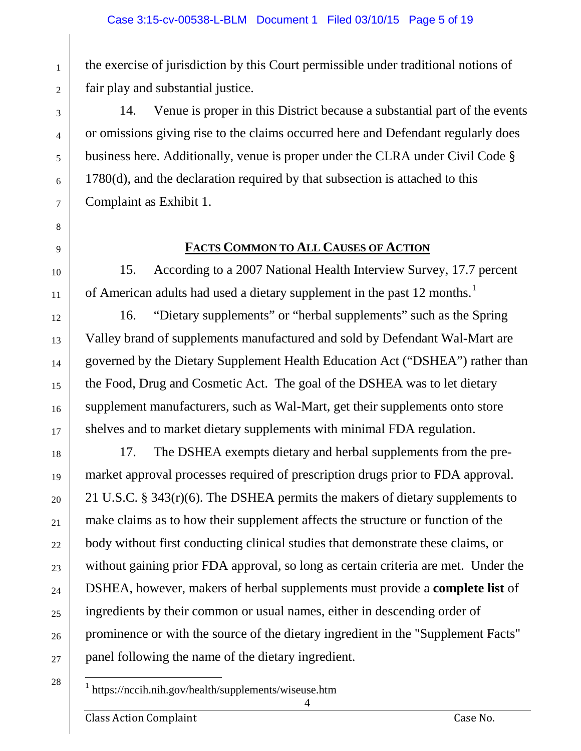the exercise of jurisdiction by this Court permissible under traditional notions of fair play and substantial justice.

14. Venue is proper in this District because a substantial part of the events or omissions giving rise to the claims occurred here and Defendant regularly does business here. Additionally, venue is proper under the CLRA under Civil Code § 1780(d), and the declaration required by that subsection is attached to this Complaint as Exhibit 1.

#### **FACTS COMMON TO ALL CAUSES OF ACTION**

15. According to a 2007 National Health Interview Survey, 17.7 percent of American adults had used a dietary supplement in the past 12 months.<sup>1</sup>

16. "Dietary supplements" or "herbal supplements" such as the Spring Valley brand of supplements manufactured and sold by Defendant Wal-Mart are governed by the Dietary Supplement Health Education Act ("DSHEA") rather than the Food, Drug and Cosmetic Act. The goal of the DSHEA was to let dietary supplement manufacturers, such as Wal-Mart, get their supplements onto store shelves and to market dietary supplements with minimal FDA regulation.

17. The DSHEA exempts dietary and herbal supplements from the premarket approval processes required of prescription drugs prior to FDA approval. 21 U.S.C. § 343(r)(6). The DSHEA permits the makers of dietary supplements to make claims as to how their supplement affects the structure or function of the body without first conducting clinical studies that demonstrate these claims, or without gaining prior FDA approval, so long as certain criteria are met. Under the DSHEA, however, makers of herbal supplements must provide a **complete list** of ingredients by their common or usual names, either in descending order of prominence or with the source of the dietary ingredient in the "Supplement Facts" panel following the name of the dietary ingredient.

28

27

1

2

3

4

5

6

7

8

9

10

11

12

13

14

15

16

17

18

19

20

21

22

23

24

25

<sup>4</sup> 1 https://nccih.nih.gov/health/supplements/wiseuse.htm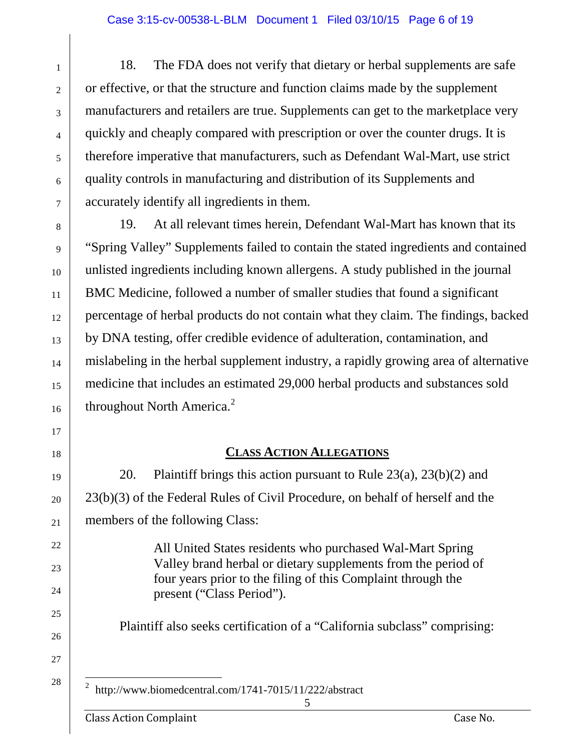18. The FDA does not verify that dietary or herbal supplements are safe or effective, or that the structure and function claims made by the supplement manufacturers and retailers are true. Supplements can get to the marketplace very quickly and cheaply compared with prescription or over the counter drugs. It is therefore imperative that manufacturers, such as Defendant Wal-Mart, use strict quality controls in manufacturing and distribution of its Supplements and accurately identify all ingredients in them.

19. At all relevant times herein, Defendant Wal-Mart has known that its "Spring Valley" Supplements failed to contain the stated ingredients and contained unlisted ingredients including known allergens. A study published in the journal BMC Medicine, followed a number of smaller studies that found a significant percentage of herbal products do not contain what they claim. The findings, backed by DNA testing, offer credible evidence of adulteration, contamination, and mislabeling in the herbal supplement industry, a rapidly growing area of alternative medicine that includes an estimated 29,000 herbal products and substances sold throughout North America.<sup>2</sup>

#### **CLASS ACTION ALLEGATIONS**

20. Plaintiff brings this action pursuant to Rule  $23(a)$ ,  $23(b)(2)$  and 23(b)(3) of the Federal Rules of Civil Procedure, on behalf of herself and the members of the following Class:

> All United States residents who purchased Wal-Mart Spring Valley brand herbal or dietary supplements from the period of four years prior to the filing of this Complaint through the present ("Class Period").

Plaintiff also seeks certification of a "California subclass" comprising:

1

2

3

4

5

6

7

8

9

10

11

12

13

14

15

16

17

18

19

20

21

22

23

24

25

26

27

 <sup>2</sup> http://www.biomedcentral.com/1741-7015/11/222/abstract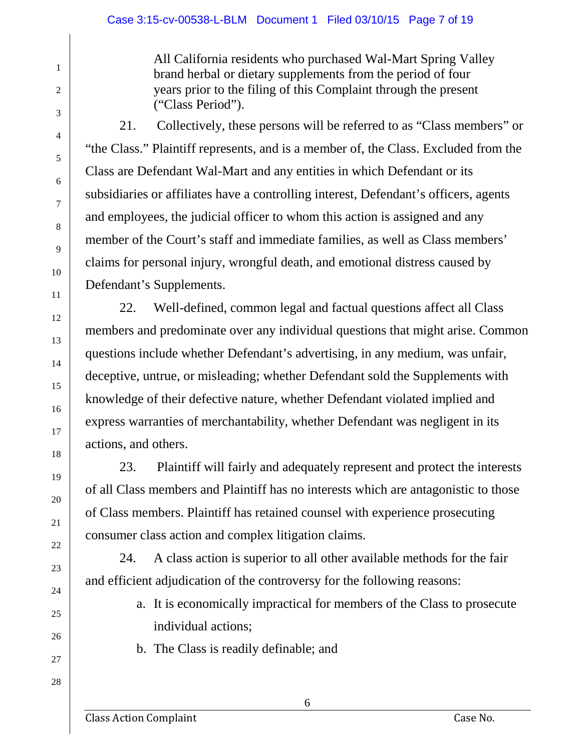All California residents who purchased Wal-Mart Spring Valley brand herbal or dietary supplements from the period of four years prior to the filing of this Complaint through the present ("Class Period").

21. Collectively, these persons will be referred to as "Class members" or "the Class." Plaintiff represents, and is a member of, the Class. Excluded from the Class are Defendant Wal-Mart and any entities in which Defendant or its subsidiaries or affiliates have a controlling interest, Defendant's officers, agents and employees, the judicial officer to whom this action is assigned and any member of the Court's staff and immediate families, as well as Class members' claims for personal injury, wrongful death, and emotional distress caused by Defendant's Supplements.

22. Well-defined, common legal and factual questions affect all Class members and predominate over any individual questions that might arise. Common questions include whether Defendant's advertising, in any medium, was unfair, deceptive, untrue, or misleading; whether Defendant sold the Supplements with knowledge of their defective nature, whether Defendant violated implied and express warranties of merchantability, whether Defendant was negligent in its actions, and others.

23. Plaintiff will fairly and adequately represent and protect the interests of all Class members and Plaintiff has no interests which are antagonistic to those of Class members. Plaintiff has retained counsel with experience prosecuting consumer class action and complex litigation claims.

24. A class action is superior to all other available methods for the fair and efficient adjudication of the controversy for the following reasons:

> a. It is economically impractical for members of the Class to prosecute individual actions;

b. The Class is readily definable; and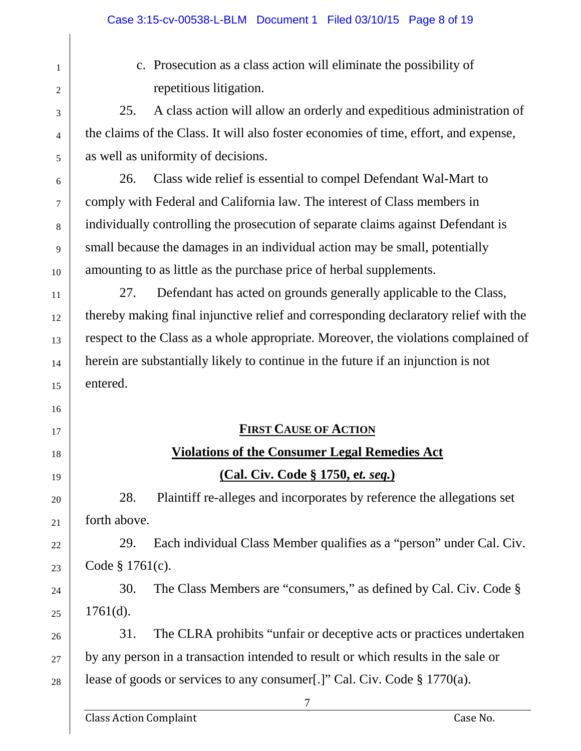c. Prosecution as a class action will eliminate the possibility of repetitious litigation.

25. A class action will allow an orderly and expeditious administration of the claims of the Class. It will also foster economies of time, effort, and expense, as well as uniformity of decisions.

26. Class wide relief is essential to compel Defendant Wal-Mart to comply with Federal and California law. The interest of Class members in individually controlling the prosecution of separate claims against Defendant is small because the damages in an individual action may be small, potentially amounting to as little as the purchase price of herbal supplements.

27. Defendant has acted on grounds generally applicable to the Class, thereby making final injunctive relief and corresponding declaratory relief with the respect to the Class as a whole appropriate. Moreover, the violations complained of herein are substantially likely to continue in the future if an injunction is not entered.

# **FIRST CAUSE OF ACTION Violations of the Consumer Legal Remedies Act (Cal. Civ. Code § 1750, e***t. seq.***)**

28. Plaintiff re-alleges and incorporates by reference the allegations set forth above.

29. Each individual Class Member qualifies as a "person" under Cal. Civ. Code § 1761(c).

30. The Class Members are "consumers," as defined by Cal. Civ. Code § 1761(d).

31. The CLRA prohibits "unfair or deceptive acts or practices undertaken by any person in a transaction intended to result or which results in the sale or lease of goods or services to any consumer[.]" Cal. Civ. Code § 1770(a).

1

2

3

4

5

6

7

8

9

10

11

12

13

14

15

16

17

18

19

20

21

22

23

24

25

26

27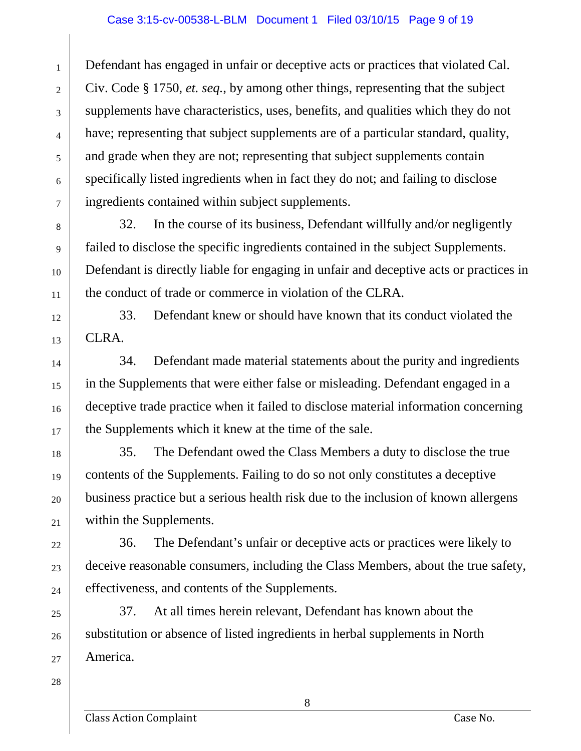Defendant has engaged in unfair or deceptive acts or practices that violated Cal. Civ. Code § 1750, *et. seq.*, by among other things, representing that the subject supplements have characteristics, uses, benefits, and qualities which they do not have; representing that subject supplements are of a particular standard, quality, and grade when they are not; representing that subject supplements contain specifically listed ingredients when in fact they do not; and failing to disclose ingredients contained within subject supplements.

1

2

3

4

5

6

7

12

13

14

15

16

17

18

19

20

21

22

23

24

25

26

27

32. In the course of its business, Defendant willfully and/or negligently failed to disclose the specific ingredients contained in the subject Supplements. Defendant is directly liable for engaging in unfair and deceptive acts or practices in the conduct of trade or commerce in violation of the CLRA.

33. Defendant knew or should have known that its conduct violated the CLRA.

34. Defendant made material statements about the purity and ingredients in the Supplements that were either false or misleading. Defendant engaged in a deceptive trade practice when it failed to disclose material information concerning the Supplements which it knew at the time of the sale.

35. The Defendant owed the Class Members a duty to disclose the true contents of the Supplements. Failing to do so not only constitutes a deceptive business practice but a serious health risk due to the inclusion of known allergens within the Supplements.

36. The Defendant's unfair or deceptive acts or practices were likely to deceive reasonable consumers, including the Class Members, about the true safety, effectiveness, and contents of the Supplements.

37. At all times herein relevant, Defendant has known about the substitution or absence of listed ingredients in herbal supplements in North America.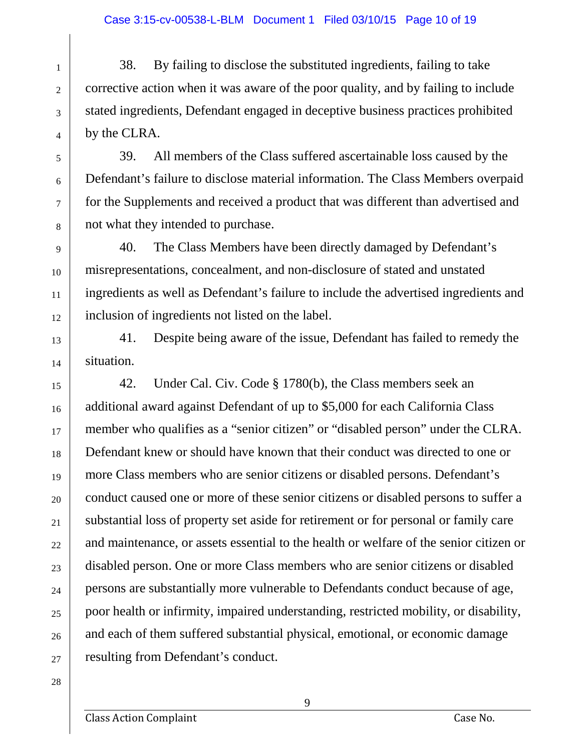38. By failing to disclose the substituted ingredients, failing to take corrective action when it was aware of the poor quality, and by failing to include stated ingredients, Defendant engaged in deceptive business practices prohibited by the CLRA.

39. All members of the Class suffered ascertainable loss caused by the Defendant's failure to disclose material information. The Class Members overpaid for the Supplements and received a product that was different than advertised and not what they intended to purchase.

40. The Class Members have been directly damaged by Defendant's misrepresentations, concealment, and non-disclosure of stated and unstated ingredients as well as Defendant's failure to include the advertised ingredients and inclusion of ingredients not listed on the label.

41. Despite being aware of the issue, Defendant has failed to remedy the situation.

42. Under Cal. Civ. Code § 1780(b), the Class members seek an additional award against Defendant of up to \$5,000 for each California Class member who qualifies as a "senior citizen" or "disabled person" under the CLRA. Defendant knew or should have known that their conduct was directed to one or more Class members who are senior citizens or disabled persons. Defendant's conduct caused one or more of these senior citizens or disabled persons to suffer a substantial loss of property set aside for retirement or for personal or family care and maintenance, or assets essential to the health or welfare of the senior citizen or disabled person. One or more Class members who are senior citizens or disabled persons are substantially more vulnerable to Defendants conduct because of age, poor health or infirmity, impaired understanding, restricted mobility, or disability, and each of them suffered substantial physical, emotional, or economic damage resulting from Defendant's conduct.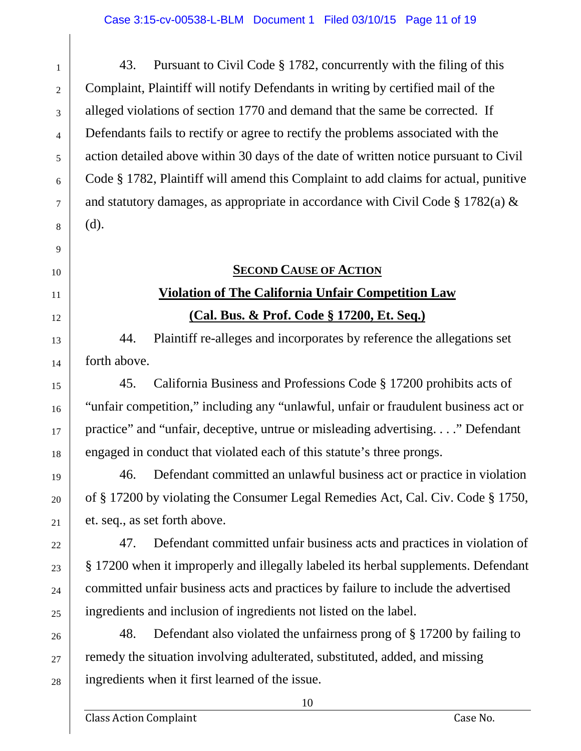43. Pursuant to Civil Code § 1782, concurrently with the filing of this Complaint, Plaintiff will notify Defendants in writing by certified mail of the alleged violations of section 1770 and demand that the same be corrected. If Defendants fails to rectify or agree to rectify the problems associated with the action detailed above within 30 days of the date of written notice pursuant to Civil Code § 1782, Plaintiff will amend this Complaint to add claims for actual, punitive and statutory damages, as appropriate in accordance with Civil Code § 1782(a) & (d).

#### **SECOND CAUSE OF ACTION**

## **Violation of The California Unfair Competition Law (Cal. Bus. & Prof. Code § 17200, Et. Seq.)**

44. Plaintiff re-alleges and incorporates by reference the allegations set forth above.

45. California Business and Professions Code § 17200 prohibits acts of "unfair competition," including any "unlawful, unfair or fraudulent business act or practice" and "unfair, deceptive, untrue or misleading advertising. . . ." Defendant engaged in conduct that violated each of this statute's three prongs.

46. Defendant committed an unlawful business act or practice in violation of § 17200 by violating the Consumer Legal Remedies Act, Cal. Civ. Code § 1750, et. seq., as set forth above.

47. Defendant committed unfair business acts and practices in violation of § 17200 when it improperly and illegally labeled its herbal supplements. Defendant committed unfair business acts and practices by failure to include the advertised ingredients and inclusion of ingredients not listed on the label.

48. Defendant also violated the unfairness prong of § 17200 by failing to remedy the situation involving adulterated, substituted, added, and missing ingredients when it first learned of the issue.

1

2

3

4

5

6

7

8

9

10

11

12

13

14

15

16

17

18

19

20

21

22

23

24

25

26

27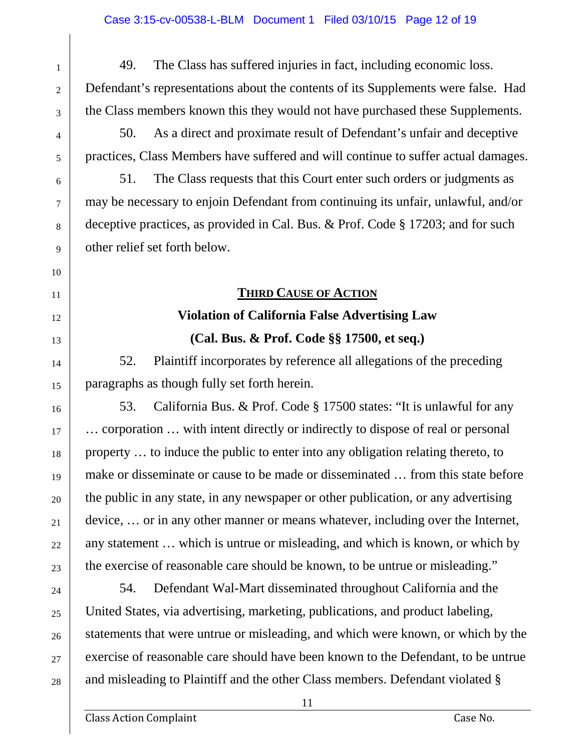49. The Class has suffered injuries in fact, including economic loss. Defendant's representations about the contents of its Supplements were false. Had the Class members known this they would not have purchased these Supplements.

50. As a direct and proximate result of Defendant's unfair and deceptive practices, Class Members have suffered and will continue to suffer actual damages.

51. The Class requests that this Court enter such orders or judgments as may be necessary to enjoin Defendant from continuing its unfair, unlawful, and/or deceptive practices, as provided in Cal. Bus. & Prof. Code § 17203; and for such other relief set forth below.

### **THIRD CAUSE OF ACTION Violation of California False Advertising Law (Cal. Bus. & Prof. Code §§ 17500, et seq.)**

52. Plaintiff incorporates by reference all allegations of the preceding paragraphs as though fully set forth herein.

16

1

2

3

4

5

6

7

8

9

10

11

12

13

14

15

17

18

19

20

21

22

23

53. California Bus. & Prof. Code § 17500 states: "It is unlawful for any … corporation … with intent directly or indirectly to dispose of real or personal property … to induce the public to enter into any obligation relating thereto, to make or disseminate or cause to be made or disseminated … from this state before the public in any state, in any newspaper or other publication, or any advertising device, … or in any other manner or means whatever, including over the Internet, any statement … which is untrue or misleading, and which is known, or which by the exercise of reasonable care should be known, to be untrue or misleading."

24 25 26 27 28 54. Defendant Wal-Mart disseminated throughout California and the United States, via advertising, marketing, publications, and product labeling, statements that were untrue or misleading, and which were known, or which by the exercise of reasonable care should have been known to the Defendant, to be untrue and misleading to Plaintiff and the other Class members. Defendant violated §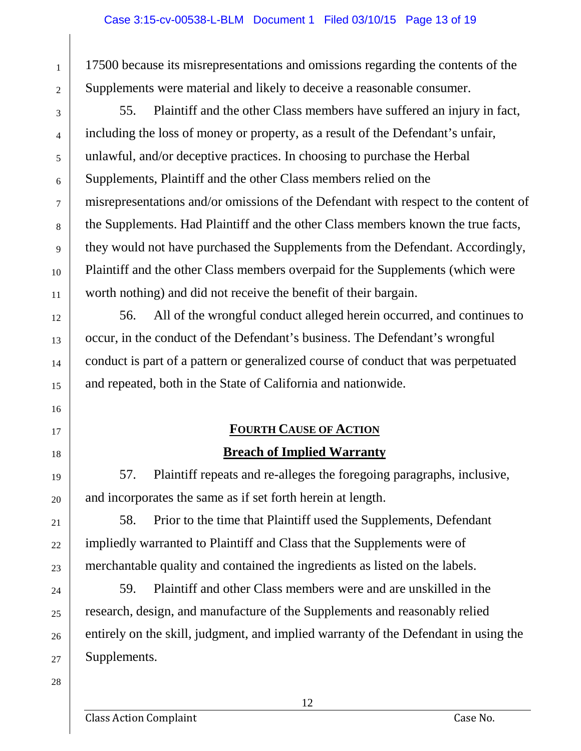17500 because its misrepresentations and omissions regarding the contents of the Supplements were material and likely to deceive a reasonable consumer.

55. Plaintiff and the other Class members have suffered an injury in fact, including the loss of money or property, as a result of the Defendant's unfair, unlawful, and/or deceptive practices. In choosing to purchase the Herbal Supplements, Plaintiff and the other Class members relied on the misrepresentations and/or omissions of the Defendant with respect to the content of the Supplements. Had Plaintiff and the other Class members known the true facts, they would not have purchased the Supplements from the Defendant. Accordingly, Plaintiff and the other Class members overpaid for the Supplements (which were worth nothing) and did not receive the benefit of their bargain.

56. All of the wrongful conduct alleged herein occurred, and continues to occur, in the conduct of the Defendant's business. The Defendant's wrongful conduct is part of a pattern or generalized course of conduct that was perpetuated and repeated, both in the State of California and nationwide.

### **FOURTH CAUSE OF ACTION Breach of Implied Warranty**

57. Plaintiff repeats and re-alleges the foregoing paragraphs, inclusive, and incorporates the same as if set forth herein at length.

58. Prior to the time that Plaintiff used the Supplements, Defendant impliedly warranted to Plaintiff and Class that the Supplements were of merchantable quality and contained the ingredients as listed on the labels.

59. Plaintiff and other Class members were and are unskilled in the research, design, and manufacture of the Supplements and reasonably relied entirely on the skill, judgment, and implied warranty of the Defendant in using the Supplements.

28

1

2

3

4

5

6

7

8

9

10

11

12

13

14

15

16

17

18

19

20

21

22

23

24

25

26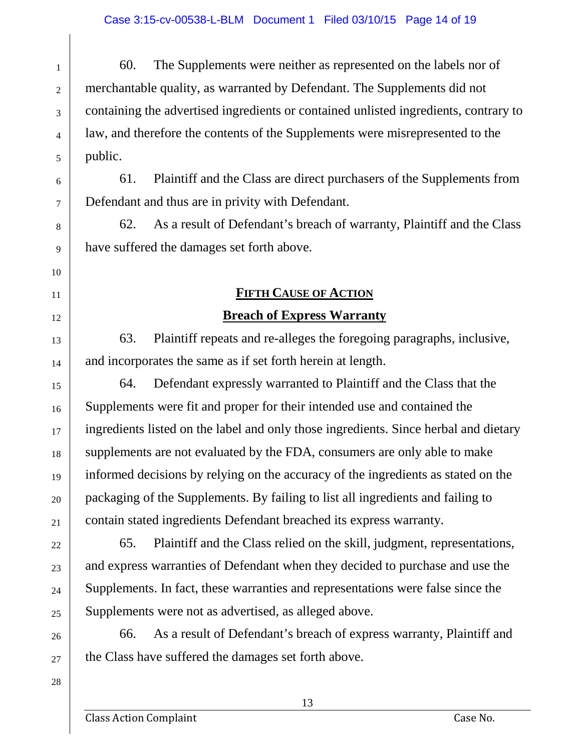60. The Supplements were neither as represented on the labels nor of merchantable quality, as warranted by Defendant. The Supplements did not containing the advertised ingredients or contained unlisted ingredients, contrary to law, and therefore the contents of the Supplements were misrepresented to the public.

61. Plaintiff and the Class are direct purchasers of the Supplements from Defendant and thus are in privity with Defendant.

62. As a result of Defendant's breach of warranty, Plaintiff and the Class have suffered the damages set forth above.

#### **FIFTH CAUSE OF ACTION**

#### **Breach of Express Warranty**

63. Plaintiff repeats and re-alleges the foregoing paragraphs, inclusive, and incorporates the same as if set forth herein at length.

64. Defendant expressly warranted to Plaintiff and the Class that the Supplements were fit and proper for their intended use and contained the ingredients listed on the label and only those ingredients. Since herbal and dietary supplements are not evaluated by the FDA, consumers are only able to make informed decisions by relying on the accuracy of the ingredients as stated on the packaging of the Supplements. By failing to list all ingredients and failing to contain stated ingredients Defendant breached its express warranty.

65. Plaintiff and the Class relied on the skill, judgment, representations, and express warranties of Defendant when they decided to purchase and use the Supplements. In fact, these warranties and representations were false since the Supplements were not as advertised, as alleged above.

66. As a result of Defendant's breach of express warranty, Plaintiff and the Class have suffered the damages set forth above.

1

2

3

4

5

6

7

8

9

10

11

12

13

14

15

16

17

18

19

20

21

**Class Action Complaint** Case No.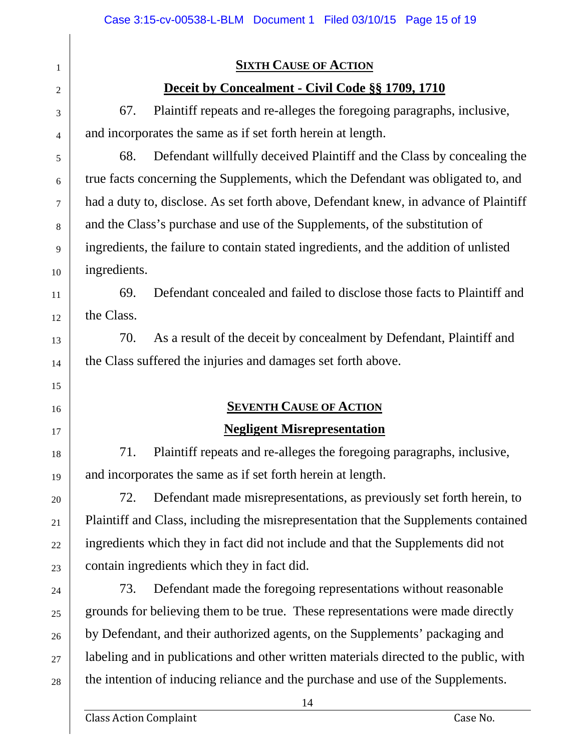#### **SIXTH CAUSE OF ACTION**

#### **Deceit by Concealment - Civil Code §§ 1709, 1710**

67. Plaintiff repeats and re-alleges the foregoing paragraphs, inclusive, and incorporates the same as if set forth herein at length.

68. Defendant willfully deceived Plaintiff and the Class by concealing the true facts concerning the Supplements, which the Defendant was obligated to, and had a duty to, disclose. As set forth above, Defendant knew, in advance of Plaintiff and the Class's purchase and use of the Supplements, of the substitution of ingredients, the failure to contain stated ingredients, and the addition of unlisted ingredients.

69. Defendant concealed and failed to disclose those facts to Plaintiff and the Class.

70. As a result of the deceit by concealment by Defendant, Plaintiff and the Class suffered the injuries and damages set forth above.

#### **SEVENTH CAUSE OF ACTION**

#### **Negligent Misrepresentation**

71. Plaintiff repeats and re-alleges the foregoing paragraphs, inclusive, and incorporates the same as if set forth herein at length.

72. Defendant made misrepresentations, as previously set forth herein, to Plaintiff and Class, including the misrepresentation that the Supplements contained ingredients which they in fact did not include and that the Supplements did not contain ingredients which they in fact did.

73. Defendant made the foregoing representations without reasonable grounds for believing them to be true. These representations were made directly by Defendant, and their authorized agents, on the Supplements' packaging and labeling and in publications and other written materials directed to the public, with the intention of inducing reliance and the purchase and use of the Supplements.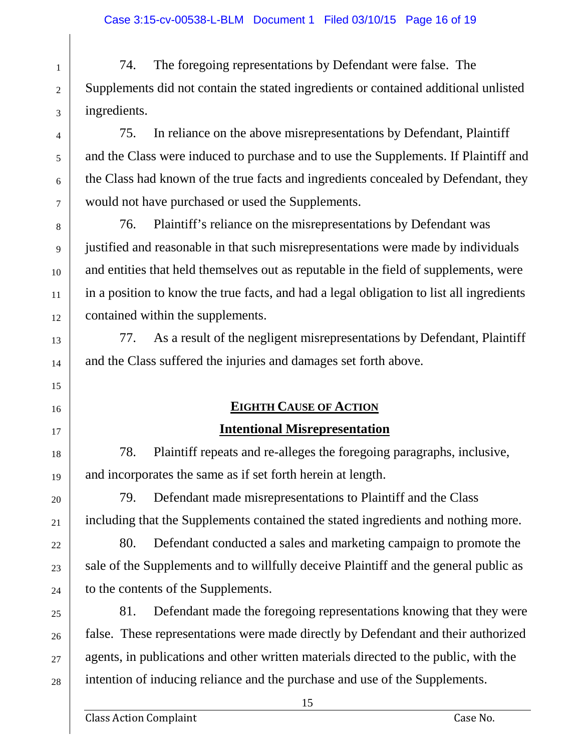74. The foregoing representations by Defendant were false. The Supplements did not contain the stated ingredients or contained additional unlisted ingredients.

75. In reliance on the above misrepresentations by Defendant, Plaintiff and the Class were induced to purchase and to use the Supplements. If Plaintiff and the Class had known of the true facts and ingredients concealed by Defendant, they would not have purchased or used the Supplements.

76. Plaintiff's reliance on the misrepresentations by Defendant was justified and reasonable in that such misrepresentations were made by individuals and entities that held themselves out as reputable in the field of supplements, were in a position to know the true facts, and had a legal obligation to list all ingredients contained within the supplements.

77. As a result of the negligent misrepresentations by Defendant, Plaintiff and the Class suffered the injuries and damages set forth above.

### **EIGHTH CAUSE OF ACTION**

### **Intentional Misrepresentation**

78. Plaintiff repeats and re-alleges the foregoing paragraphs, inclusive, and incorporates the same as if set forth herein at length.

79. Defendant made misrepresentations to Plaintiff and the Class including that the Supplements contained the stated ingredients and nothing more.

80. Defendant conducted a sales and marketing campaign to promote the sale of the Supplements and to willfully deceive Plaintiff and the general public as to the contents of the Supplements.

81. Defendant made the foregoing representations knowing that they were false. These representations were made directly by Defendant and their authorized agents, in publications and other written materials directed to the public, with the intention of inducing reliance and the purchase and use of the Supplements.

1

2

3

4

5

6

7

8

9

10

11

12

13

14

15

16

17

18

19

20

21

22

23

24

25

26

27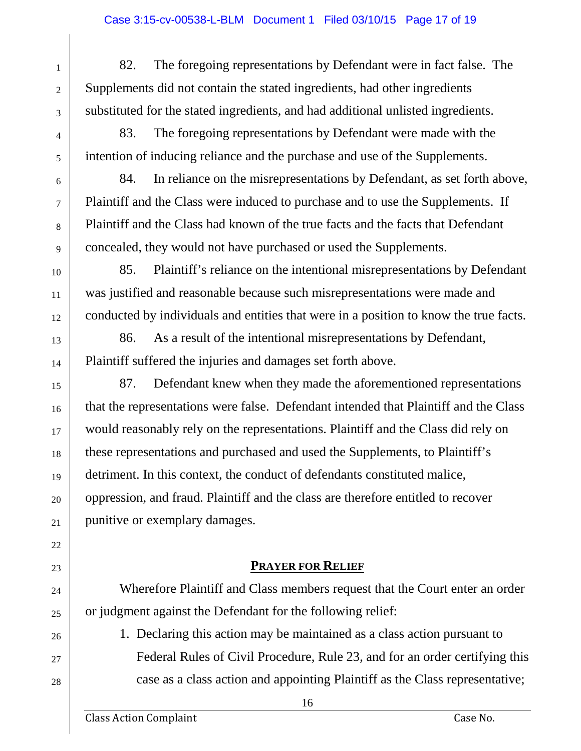82. The foregoing representations by Defendant were in fact false. The Supplements did not contain the stated ingredients, had other ingredients substituted for the stated ingredients, and had additional unlisted ingredients.

83. The foregoing representations by Defendant were made with the intention of inducing reliance and the purchase and use of the Supplements.

84. In reliance on the misrepresentations by Defendant, as set forth above, Plaintiff and the Class were induced to purchase and to use the Supplements. If Plaintiff and the Class had known of the true facts and the facts that Defendant concealed, they would not have purchased or used the Supplements.

85. Plaintiff's reliance on the intentional misrepresentations by Defendant was justified and reasonable because such misrepresentations were made and conducted by individuals and entities that were in a position to know the true facts.

86. As a result of the intentional misrepresentations by Defendant, Plaintiff suffered the injuries and damages set forth above.

87. Defendant knew when they made the aforementioned representations that the representations were false. Defendant intended that Plaintiff and the Class would reasonably rely on the representations. Plaintiff and the Class did rely on these representations and purchased and used the Supplements, to Plaintiff's detriment. In this context, the conduct of defendants constituted malice, oppression, and fraud. Plaintiff and the class are therefore entitled to recover punitive or exemplary damages.

### **PRAYER FOR RELIEF**

Wherefore Plaintiff and Class members request that the Court enter an order or judgment against the Defendant for the following relief:

1. Declaring this action may be maintained as a class action pursuant to Federal Rules of Civil Procedure, Rule 23, and for an order certifying this case as a class action and appointing Plaintiff as the Class representative;

1

2

3

4

5

6

7

8

9

10

11

12

13

14

15

16

17

18

19

20

21

22

23

24

25

26

27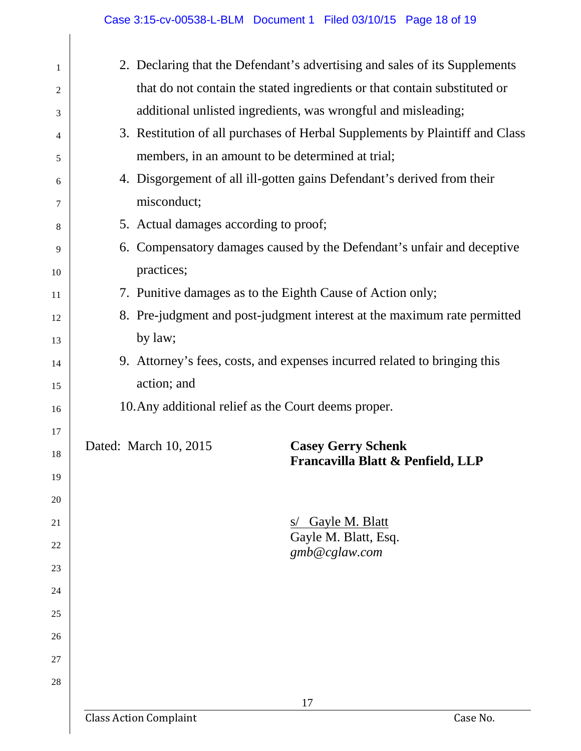$\overline{\phantom{a}}$ 

| $\mathbf{1}$ | 2. Declaring that the Defendant's advertising and sales of its Supplements   |
|--------------|------------------------------------------------------------------------------|
| 2            | that do not contain the stated ingredients or that contain substituted or    |
| 3            | additional unlisted ingredients, was wrongful and misleading;                |
| 4            | 3. Restitution of all purchases of Herbal Supplements by Plaintiff and Class |
| 5            | members, in an amount to be determined at trial;                             |
| 6            | 4. Disgorgement of all ill-gotten gains Defendant's derived from their       |
| 7            | misconduct;                                                                  |
| 8            | 5. Actual damages according to proof;                                        |
| 9            | 6. Compensatory damages caused by the Defendant's unfair and deceptive       |
| 10           | practices;                                                                   |
| 11           | 7. Punitive damages as to the Eighth Cause of Action only;                   |
| 12           | 8. Pre-judgment and post-judgment interest at the maximum rate permitted     |
| 13           | by law;                                                                      |
| 14           | 9. Attorney's fees, costs, and expenses incurred related to bringing this    |
| 15           | action; and                                                                  |
| 16           | 10. Any additional relief as the Court deems proper.                         |
| 17           | Dated: March 10, 2015<br><b>Casey Gerry Schenk</b>                           |
| 18           | Francavilla Blatt & Penfield, LLP                                            |
| 19           |                                                                              |
| 20           |                                                                              |
| 21           | Gayle M. Blatt<br>S/<br>Gayle M. Blatt, Esq.                                 |
| 22           | gmb@cglaw.com                                                                |
| 23           |                                                                              |
| 24           |                                                                              |
| 25           |                                                                              |
| 26           |                                                                              |
| 27           |                                                                              |
| 28           | 17                                                                           |
|              | <b>Class Action Complaint</b><br>Case No.                                    |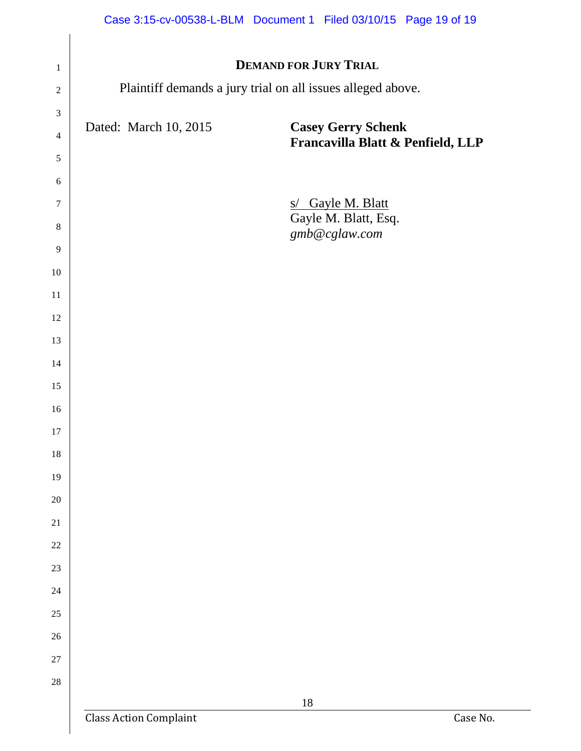| <b>DEMAND FOR JURY TRIAL</b><br>$\mathbf{1}$<br>Plaintiff demands a jury trial on all issues alleged above.<br>$\boldsymbol{2}$<br>$\mathfrak{Z}$<br>Dated: March 10, 2015<br><b>Casey Gerry Schenk</b> |          |
|---------------------------------------------------------------------------------------------------------------------------------------------------------------------------------------------------------|----------|
|                                                                                                                                                                                                         |          |
|                                                                                                                                                                                                         |          |
|                                                                                                                                                                                                         |          |
| $\overline{4}$<br>Francavilla Blatt & Penfield, LLP                                                                                                                                                     |          |
| $\mathfrak{S}$                                                                                                                                                                                          |          |
| $6\,$                                                                                                                                                                                                   |          |
| s/ Gayle M. Blatt<br>$\overline{7}$                                                                                                                                                                     |          |
| Gayle M. Blatt, Esq.<br>$\,8\,$<br>gmb@cglaw.com                                                                                                                                                        |          |
| $\overline{9}$                                                                                                                                                                                          |          |
| 10                                                                                                                                                                                                      |          |
| 11                                                                                                                                                                                                      |          |
| 12                                                                                                                                                                                                      |          |
| 13                                                                                                                                                                                                      |          |
| 14                                                                                                                                                                                                      |          |
| 15                                                                                                                                                                                                      |          |
| 16                                                                                                                                                                                                      |          |
| 17                                                                                                                                                                                                      |          |
| 18                                                                                                                                                                                                      |          |
| 19                                                                                                                                                                                                      |          |
| $20\,$                                                                                                                                                                                                  |          |
| $21\,$                                                                                                                                                                                                  |          |
| $22\,$                                                                                                                                                                                                  |          |
| 23                                                                                                                                                                                                      |          |
| $24\,$                                                                                                                                                                                                  |          |
| $25\,$                                                                                                                                                                                                  |          |
| $26\,$                                                                                                                                                                                                  |          |
| $27\,$                                                                                                                                                                                                  |          |
| $28\,$                                                                                                                                                                                                  |          |
| 18<br><b>Class Action Complaint</b>                                                                                                                                                                     | Case No. |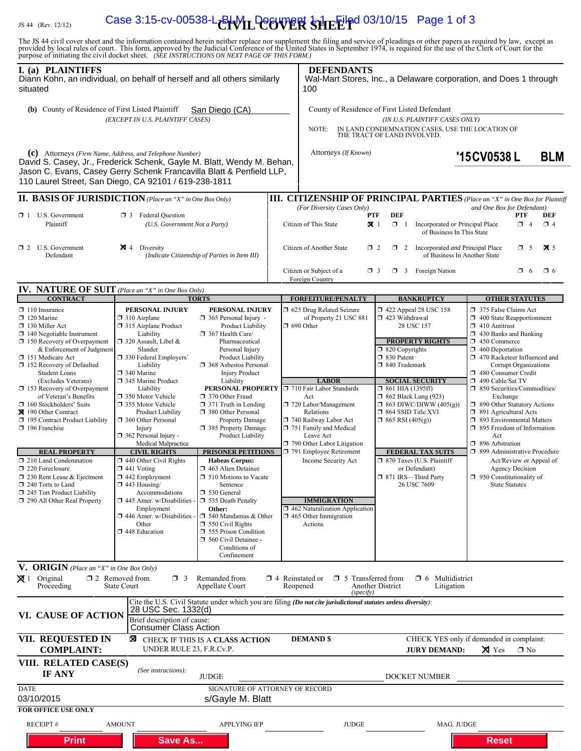### IS 44 (Rev. 12/12) **Case 3:15-cv-00538-L-BLM DOCUTER SHEEIF** d 03/10/15 Page 1 of 3

The JS 44 civil cover sheet and the information contained herein neither replace nor supplement the filing and service of pleadings or other papers as required by law, except as provided by local rules of court. This form,

| I. (a) PLAINTIFFS<br>Diann Kohn, an individual, on behalf of herself and all others similarly<br>situated                                                                                                                           |                                                                                                                                                                                                                |                                                                                                                                                                                                                           | <b>DEFENDANTS</b><br>Wal-Mart Stores, Inc., a Delaware corporation, and Does 1 through<br>100 |                                                                                                                                                        |                                                                                 |                                                                                                                  |                                                                                                                                                                                                                                                       |                                                   |                           |
|-------------------------------------------------------------------------------------------------------------------------------------------------------------------------------------------------------------------------------------|----------------------------------------------------------------------------------------------------------------------------------------------------------------------------------------------------------------|---------------------------------------------------------------------------------------------------------------------------------------------------------------------------------------------------------------------------|-----------------------------------------------------------------------------------------------|--------------------------------------------------------------------------------------------------------------------------------------------------------|---------------------------------------------------------------------------------|------------------------------------------------------------------------------------------------------------------|-------------------------------------------------------------------------------------------------------------------------------------------------------------------------------------------------------------------------------------------------------|---------------------------------------------------|---------------------------|
| (b) County of Residence of First Listed Plaintiff                                                                                                                                                                                   |                                                                                                                                                                                                                | San Diego (CA)                                                                                                                                                                                                            |                                                                                               | County of Residence of First Listed Defendant                                                                                                          |                                                                                 |                                                                                                                  |                                                                                                                                                                                                                                                       |                                                   |                           |
|                                                                                                                                                                                                                                     | (EXCEPT IN U.S. PLAINTIFF CASES)                                                                                                                                                                               |                                                                                                                                                                                                                           |                                                                                               |                                                                                                                                                        |                                                                                 | (IN U.S. PLAINTIFF CASES ONLY)                                                                                   |                                                                                                                                                                                                                                                       |                                                   |                           |
|                                                                                                                                                                                                                                     |                                                                                                                                                                                                                |                                                                                                                                                                                                                           |                                                                                               | NOTE:                                                                                                                                                  | THE TRACT OF LAND INVOLVED.                                                     |                                                                                                                  | IN LAND CONDEMNATION CASES, USE THE LOCATION OF                                                                                                                                                                                                       |                                                   |                           |
| (c) Attorneys (Firm Name, Address, and Telephone Number)<br>David S. Casey, Jr., Frederick Schenk, Gayle M. Blatt, Wendy M. Behan,                                                                                                  |                                                                                                                                                                                                                |                                                                                                                                                                                                                           |                                                                                               | Attorneys (If Known)                                                                                                                                   |                                                                                 |                                                                                                                  | '15CV0538L                                                                                                                                                                                                                                            |                                                   | <b>BLM</b>                |
| Jason C. Evans, Casey Gerry Schenk Francavilla Blatt & Penfield LLP,<br>110 Laurel Street, San Diego, CA 92101 / 619-238-1811                                                                                                       |                                                                                                                                                                                                                |                                                                                                                                                                                                                           |                                                                                               |                                                                                                                                                        |                                                                                 |                                                                                                                  |                                                                                                                                                                                                                                                       |                                                   |                           |
| <b>II. BASIS OF JURISDICTION</b> (Place an "X" in One Box Only)                                                                                                                                                                     |                                                                                                                                                                                                                |                                                                                                                                                                                                                           |                                                                                               | <b>III. CITIZENSHIP OF PRINCIPAL PARTIES</b> (Place an "X" in One Box for Plaintiff                                                                    |                                                                                 |                                                                                                                  |                                                                                                                                                                                                                                                       |                                                   |                           |
|                                                                                                                                                                                                                                     |                                                                                                                                                                                                                |                                                                                                                                                                                                                           |                                                                                               | (For Diversity Cases Only)                                                                                                                             |                                                                                 |                                                                                                                  | and One Box for Defendant)                                                                                                                                                                                                                            |                                                   |                           |
| $\Box$ 1 U.S. Government<br>Plaintiff                                                                                                                                                                                               | <b>3</b> Federal Question<br>(U.S. Government Not a Party)                                                                                                                                                     |                                                                                                                                                                                                                           |                                                                                               | Citizen of This State                                                                                                                                  | <b>DEF</b><br><b>PTF</b><br>$\Box$ 1<br>$\mathbf{X}$ 1                          | of Business In This State                                                                                        | Incorporated or Principal Place                                                                                                                                                                                                                       | PTF<br>$\Box$ 4                                   | DEF<br>$\Box$ 4           |
| $\Box$ 2 U.S. Government<br>Defendant                                                                                                                                                                                               | $\boxtimes$ 4 Diversity                                                                                                                                                                                        | (Indicate Citizenship of Parties in Item III)                                                                                                                                                                             |                                                                                               | Citizen of Another State                                                                                                                               | $\Box$ 2                                                                        | $\Box$ 2 Incorporated <i>and</i> Principal Place                                                                 | of Business In Another State                                                                                                                                                                                                                          | $\Box$ 5                                          | $\mathbf{\overline{M}}$ 5 |
|                                                                                                                                                                                                                                     |                                                                                                                                                                                                                |                                                                                                                                                                                                                           |                                                                                               | Citizen or Subject of a<br>Foreign Country                                                                                                             | $\Box$ 3                                                                        | $\Box$ 3 Foreign Nation                                                                                          |                                                                                                                                                                                                                                                       | $\Box$ 6                                          | $\Box$ 6                  |
| <b>IV. NATURE OF SUIT</b> (Place an "X" in One Box Only)<br><b>CONTRACT</b>                                                                                                                                                         |                                                                                                                                                                                                                | <b>TORTS</b>                                                                                                                                                                                                              |                                                                                               | <b>FORFEITURE/PENALTY</b>                                                                                                                              |                                                                                 | <b>BANKRUPTCY</b>                                                                                                | <b>OTHER STATUTES</b>                                                                                                                                                                                                                                 |                                                   |                           |
| $\Box$ 110 Insurance<br>$\Box$ 120 Marine<br>$\Box$ 130 Miller Act<br>$\Box$ 140 Negotiable Instrument<br>$\Box$ 150 Recovery of Overpayment<br>& Enforcement of Judgment<br>□ 151 Medicare Act<br>$\Box$ 152 Recovery of Defaulted | PERSONAL INJURY<br>$\Box$ 310 Airplane<br>□ 315 Airplane Product<br>Liability<br>$\Box$ 320 Assault, Libel &<br>Slander<br>□ 330 Federal Employers'<br>Liability                                               | PERSONAL INJURY<br>$\Box$ 365 Personal Injury -<br>Product Liability<br>367 Health Care/<br>Pharmaceutical<br>Personal Injury<br>Product Liability<br><b>1</b> 368 Asbestos Personal                                      |                                                                                               | 5 625 Drug Related Seizure<br>of Property 21 USC 881<br>$\Box$ 690 Other                                                                               | 423 Withdrawal<br>$\Box$ 820 Copyrights<br>□ 830 Patent<br>$\Box$ 840 Trademark | 1422 Appeal 28 USC 158<br>28 USC 157<br><b>PROPERTY RIGHTS</b>                                                   | 375 False Claims Act<br>$\Box$ 400 State Reapportionment<br>$\Box$ 410 Antitrust<br>$\Box$ 430 Banks and Banking<br>450 Commerce<br>$\Box$ 460 Deportation<br>470 Racketeer Influenced and                                                            | Corrupt Organizations                             |                           |
| <b>Student Loans</b><br>(Excludes Veterans)<br>$\Box$ 153 Recovery of Overpayment<br>of Veteran's Benefits<br>$\Box$ 160 Stockholders' Suits<br>■ 190 Other Contract<br>195 Contract Product Liability<br>196 Franchise             | 340 Marine<br>345 Marine Product<br>Liability<br>□ 350 Motor Vehicle<br>□ 355 Motor Vehicle<br><b>Product Liability</b><br>360 Other Personal<br>Injury<br>$\Box$ 362 Personal Injury -<br>Medical Malpractice | <b>Injury Product</b><br>Liability<br>PERSONAL PROPERTY □ 710 Fair Labor Standards<br>370 Other Fraud<br>371 Truth in Lending<br>380 Other Personal<br><b>Property Damage</b><br>385 Property Damage<br>Product Liability |                                                                                               | <b>LABOR</b><br>Act<br>720 Labor/Management<br>Relations<br>740 Railway Labor Act<br>751 Family and Medical<br>Leave Act<br>790 Other Labor Litigation | $\Box$ 861 HIA (1395ff)<br>□ 864 SSID Title XVI<br>$\Box$ 865 RSI (405(g))      | <b>SOCIAL SECURITY</b><br><b>1</b> 862 Black Lung (923)<br>$\Box$ 863 DIWC/DIWW (405(g))                         | 480 Consumer Credit<br>490 Cable/Sat TV<br>□ 850 Securities/Commodities/<br>Exchange<br>1 890 Other Statutory Actions<br>$\Box$ 891 Agricultural Acts<br>5 893 Environmental Matters<br>□ 895 Freedom of Information<br>Act<br>$\Box$ 896 Arbitration |                                                   |                           |
| <b>REAL PROPERTY</b><br>210 Land Condemnation<br>$\Box$ 220 Foreclosure<br>$\Box$ 230 Rent Lease & Ejectment<br>$\Box$ 240 Torts to Land<br>245 Tort Product Liability<br>290 All Other Real Property                               | <b>CIVIL RIGHTS</b><br>$\Box$ 440 Other Civil Rights<br>$\Box$ 441 Voting<br>$\Box$ 442 Employment<br>$\Box$ 443 Housing/<br>Accommodations<br>$\Box$ 445 Amer. w/Disabilities -                               | <b>PRISONER PETITIONS</b><br><b>Habeas Corpus:</b><br>463 Alien Detainee<br>$\Box$ 510 Motions to Vacate<br>Sentence<br>□ 530 General<br>535 Death Penalty                                                                |                                                                                               | 791 Employee Retirement<br>Income Security Act<br><b>IMMIGRATION</b>                                                                                   |                                                                                 | <b>FEDERAL TAX SUITS</b><br>□ 870 Taxes (U.S. Plaintiff<br>or Defendant)<br>□ 871 IRS-Third Party<br>26 USC 7609 | □ 899 Administrative Procedure<br>$\Box$ 950 Constitutionality of<br><b>State Statutes</b>                                                                                                                                                            | Act/Review or Appeal of<br><b>Agency Decision</b> |                           |
|                                                                                                                                                                                                                                     | Employment<br>$\Box$ 446 Amer. w/Disabilities<br>Other<br>448 Education                                                                                                                                        | Other:<br>$\Box$ 540 Mandamus & Other<br>$\Box$ 550 Civil Rights<br>555 Prison Condition<br>560 Civil Detainee -<br>Conditions of<br>Confinement                                                                          |                                                                                               | $\Box$ 462 Naturalization Application<br>$\Box$ 465 Other Immigration<br>Actions                                                                       |                                                                                 |                                                                                                                  |                                                                                                                                                                                                                                                       |                                                   |                           |
| V. ORIGIN (Place an "X" in One Box Only)<br>$\boxtimes$ 1 Original<br>Proceeding                                                                                                                                                    | $\Box$ 2 Removed from<br>$\Box$ 3<br><b>State Court</b>                                                                                                                                                        | Remanded from<br>Appellate Court                                                                                                                                                                                          |                                                                                               | $\Box$ 4 Reinstated or $\Box$ 5 Transferred from<br>Reopened<br>(specify)                                                                              | Another District                                                                | $\Box$ 6 Multidistrict<br>Litigation                                                                             |                                                                                                                                                                                                                                                       |                                                   |                           |
| VI. CAUSE OF ACTION                                                                                                                                                                                                                 | 28 USC Sec. 1332(d)<br>Brief description of cause:                                                                                                                                                             |                                                                                                                                                                                                                           |                                                                                               | Cite the U.S. Civil Statute under which you are filing (Do not cite jurisdictional statutes unless diversity):                                         |                                                                                 |                                                                                                                  |                                                                                                                                                                                                                                                       |                                                   |                           |
|                                                                                                                                                                                                                                     | <b>Consumer Class Action</b>                                                                                                                                                                                   |                                                                                                                                                                                                                           |                                                                                               |                                                                                                                                                        |                                                                                 |                                                                                                                  |                                                                                                                                                                                                                                                       |                                                   |                           |
| VII. REQUESTED IN<br><b>COMPLAINT:</b>                                                                                                                                                                                              | ⊠<br>UNDER RULE 23, F.R.Cv.P.                                                                                                                                                                                  | <b>CHECK IF THIS IS A CLASS ACTION</b>                                                                                                                                                                                    |                                                                                               | <b>DEMAND</b> \$                                                                                                                                       |                                                                                 | <b>JURY DEMAND:</b>                                                                                              | CHECK YES only if demanded in complaint:<br>$\times$ Yes                                                                                                                                                                                              | $\square$ No                                      |                           |
| VIII. RELATED CASE(S)<br>IF ANY                                                                                                                                                                                                     | (See instructions):                                                                                                                                                                                            | <b>JUDGE</b>                                                                                                                                                                                                              |                                                                                               |                                                                                                                                                        |                                                                                 | DOCKET NUMBER                                                                                                    |                                                                                                                                                                                                                                                       |                                                   |                           |
| <b>DATE</b><br>03/10/2015                                                                                                                                                                                                           |                                                                                                                                                                                                                | SIGNATURE OF ATTORNEY OF RECORD<br>s/Gayle M. Blatt                                                                                                                                                                       |                                                                                               |                                                                                                                                                        |                                                                                 |                                                                                                                  |                                                                                                                                                                                                                                                       |                                                   |                           |
| FOR OFFICE USE ONLY                                                                                                                                                                                                                 |                                                                                                                                                                                                                |                                                                                                                                                                                                                           |                                                                                               |                                                                                                                                                        |                                                                                 |                                                                                                                  |                                                                                                                                                                                                                                                       |                                                   |                           |
| <b>RECEIPT#</b><br><b>Print</b>                                                                                                                                                                                                     | <b>AMOUNT</b><br><b>Save As</b>                                                                                                                                                                                | <b>APPLYING IFP</b>                                                                                                                                                                                                       |                                                                                               | <b>JUDGE</b>                                                                                                                                           |                                                                                 |                                                                                                                  | MAG. JUDGE<br><b>Reset</b>                                                                                                                                                                                                                            |                                                   |                           |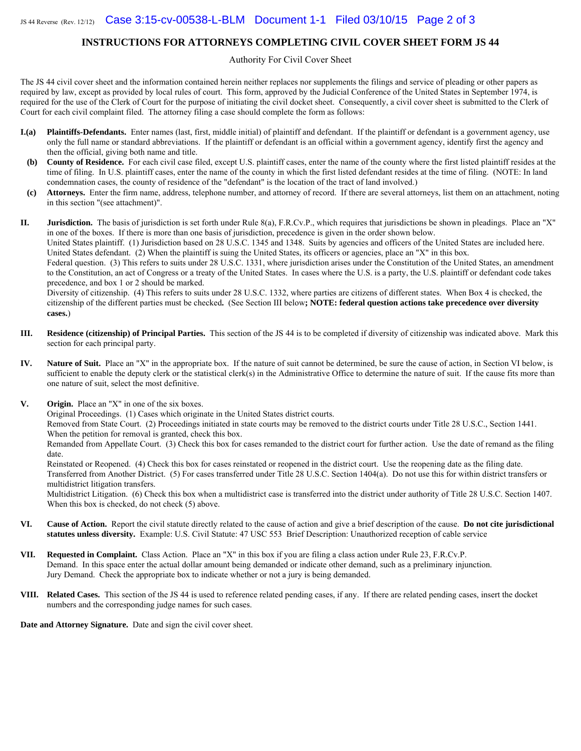#### **INSTRUCTIONS FOR ATTORNEYS COMPLETING CIVIL COVER SHEET FORM JS 44**

Authority For Civil Cover Sheet

The JS 44 civil cover sheet and the information contained herein neither replaces nor supplements the filings and service of pleading or other papers as required by law, except as provided by local rules of court. This form, approved by the Judicial Conference of the United States in September 1974, is required for the use of the Clerk of Court for the purpose of initiating the civil docket sheet. Consequently, a civil cover sheet is submitted to the Clerk of Court for each civil complaint filed. The attorney filing a case should complete the form as follows:

- **I.(a) Plaintiffs-Defendants.** Enter names (last, first, middle initial) of plaintiff and defendant. If the plaintiff or defendant is a government agency, use only the full name or standard abbreviations. If the plaintiff or defendant is an official within a government agency, identify first the agency and then the official, giving both name and title.
- **(b) County of Residence.** For each civil case filed, except U.S. plaintiff cases, enter the name of the county where the first listed plaintiff resides at the time of filing. In U.S. plaintiff cases, enter the name of the county in which the first listed defendant resides at the time of filing. (NOTE: In land condemnation cases, the county of residence of the "defendant" is the location of the tract of land involved.)
- **(c) Attorneys.** Enter the firm name, address, telephone number, and attorney of record. If there are several attorneys, list them on an attachment, noting in this section "(see attachment)".

**II. Jurisdiction.** The basis of jurisdiction is set forth under Rule 8(a), F.R.Cv.P., which requires that jurisdictions be shown in pleadings. Place an "X" in one of the boxes. If there is more than one basis of jurisdiction, precedence is given in the order shown below. United States plaintiff. (1) Jurisdiction based on 28 U.S.C. 1345 and 1348. Suits by agencies and officers of the United States are included here. United States defendant. (2) When the plaintiff is suing the United States, its officers or agencies, place an "X" in this box. Federal question. (3) This refers to suits under 28 U.S.C. 1331, where jurisdiction arises under the Constitution of the United States, an amendment

to the Constitution, an act of Congress or a treaty of the United States. In cases where the U.S. is a party, the U.S. plaintiff or defendant code takes precedence, and box 1 or 2 should be marked.

Diversity of citizenship. (4) This refers to suits under 28 U.S.C. 1332, where parties are citizens of different states. When Box 4 is checked, the citizenship of the different parties must be checked**.** (See Section III below**; NOTE: federal question actions take precedence over diversity cases.**)

- **III. Residence (citizenship) of Principal Parties.** This section of the JS 44 is to be completed if diversity of citizenship was indicated above. Mark this section for each principal party.
- **IV. Nature of Suit.** Place an "X" in the appropriate box. If the nature of suit cannot be determined, be sure the cause of action, in Section VI below, is sufficient to enable the deputy clerk or the statistical clerk(s) in the Administrative Office to determine the nature of suit. If the cause fits more than one nature of suit, select the most definitive.
- **V. Origin.** Place an "X" in one of the six boxes.

Original Proceedings. (1) Cases which originate in the United States district courts.

Removed from State Court. (2) Proceedings initiated in state courts may be removed to the district courts under Title 28 U.S.C., Section 1441. When the petition for removal is granted, check this box.

Remanded from Appellate Court. (3) Check this box for cases remanded to the district court for further action. Use the date of remand as the filing date.

Reinstated or Reopened. (4) Check this box for cases reinstated or reopened in the district court. Use the reopening date as the filing date. Transferred from Another District. (5) For cases transferred under Title 28 U.S.C. Section 1404(a). Do not use this for within district transfers or multidistrict litigation transfers.

Multidistrict Litigation. (6) Check this box when a multidistrict case is transferred into the district under authority of Title 28 U.S.C. Section 1407. When this box is checked, do not check (5) above.

- **VI. Cause of Action.** Report the civil statute directly related to the cause of action and give a brief description of the cause. **Do not cite jurisdictional statutes unless diversity.** Example: U.S. Civil Statute: 47 USC 553 Brief Description: Unauthorized reception of cable service
- **VII. Requested in Complaint.** Class Action. Place an "X" in this box if you are filing a class action under Rule 23, F.R.Cv.P. Demand. In this space enter the actual dollar amount being demanded or indicate other demand, such as a preliminary injunction. Jury Demand. Check the appropriate box to indicate whether or not a jury is being demanded.
- **VIII. Related Cases.** This section of the JS 44 is used to reference related pending cases, if any. If there are related pending cases, insert the docket numbers and the corresponding judge names for such cases.

**Date and Attorney Signature.** Date and sign the civil cover sheet.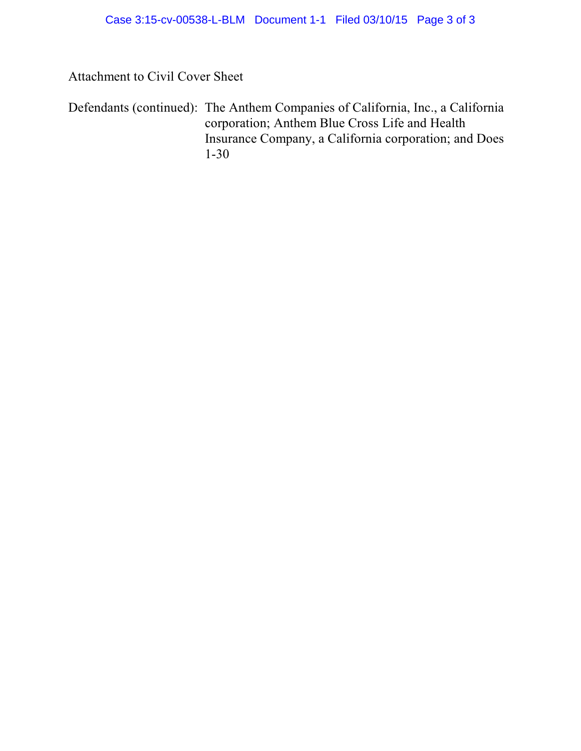Attachment to Civil Cover Sheet

Defendants (continued): The Anthem Companies of California, Inc., a California corporation; Anthem Blue Cross Life and Health Insurance Company, a California corporation; and Does 1-30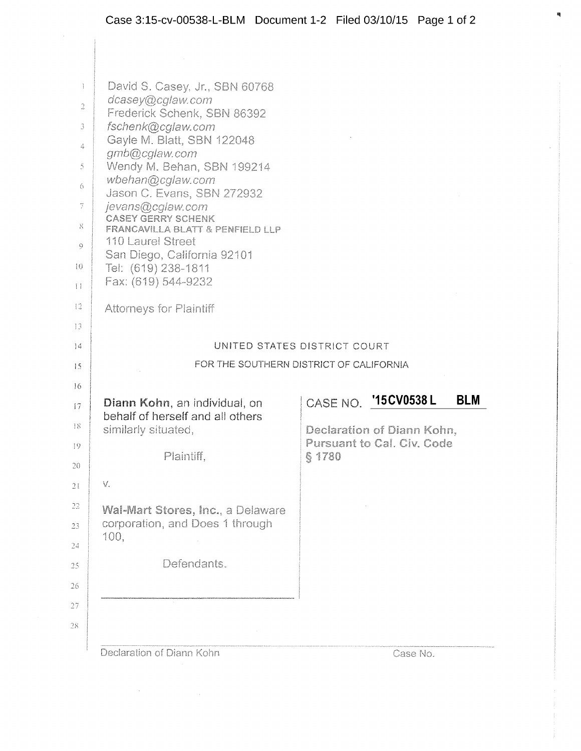| Ť<br>2<br>3.<br>4<br>5<br>6.<br>7<br>8.<br>9<br>10<br>$\begin{array}{c} 1 \\ 1 \end{array}$ | David S. Casey, Jr., SBN 60768<br>dcasey@cglaw.com<br>Frederick Schenk, SBN 86392<br>fschenk@cglaw.com<br>Gayle M. Blatt, SBN 122048<br>gmb@cglaw.com<br>Wendy M. Behan, SBN 199214<br>wbehan@cglaw.com<br>Jason C. Evans, SBN 272932<br>jevans@cglaw.com<br><b>CASEY GERRY SCHENK</b><br>FRANCAVILLA BLATT & PENFIELD LLP<br>110 Laurel Street<br>San Diego, California 92101<br>Tel: (619) 238-1811<br>Fax: (619) 544-9232 |                                                                 |  |  |  |  |  |
|---------------------------------------------------------------------------------------------|------------------------------------------------------------------------------------------------------------------------------------------------------------------------------------------------------------------------------------------------------------------------------------------------------------------------------------------------------------------------------------------------------------------------------|-----------------------------------------------------------------|--|--|--|--|--|
| -12                                                                                         | <b>Attorneys for Plaintiff</b>                                                                                                                                                                                                                                                                                                                                                                                               |                                                                 |  |  |  |  |  |
| 13                                                                                          |                                                                                                                                                                                                                                                                                                                                                                                                                              |                                                                 |  |  |  |  |  |
| 14                                                                                          |                                                                                                                                                                                                                                                                                                                                                                                                                              | UNITED STATES DISTRICT COURT                                    |  |  |  |  |  |
| -15                                                                                         | FOR THE SOUTHERN DISTRICT OF CALIFORNIA                                                                                                                                                                                                                                                                                                                                                                                      |                                                                 |  |  |  |  |  |
| -16                                                                                         |                                                                                                                                                                                                                                                                                                                                                                                                                              |                                                                 |  |  |  |  |  |
| 17                                                                                          | Diann Kohn, an individual, on                                                                                                                                                                                                                                                                                                                                                                                                | CASE NO. <b>'15CV0538 L</b><br><b>BLM</b>                       |  |  |  |  |  |
| 18                                                                                          | behalf of herself and all others                                                                                                                                                                                                                                                                                                                                                                                             |                                                                 |  |  |  |  |  |
|                                                                                             | similarly situated,                                                                                                                                                                                                                                                                                                                                                                                                          | Declaration of Diann Kohn,<br><b>Pursuant to Cal. Civ. Code</b> |  |  |  |  |  |
| 19.                                                                                         | Plaintiff.                                                                                                                                                                                                                                                                                                                                                                                                                   | \$1780                                                          |  |  |  |  |  |
| 20.                                                                                         |                                                                                                                                                                                                                                                                                                                                                                                                                              |                                                                 |  |  |  |  |  |
| 21                                                                                          | V.                                                                                                                                                                                                                                                                                                                                                                                                                           |                                                                 |  |  |  |  |  |
| 22                                                                                          | Wal-Mart Stores, Inc., a Delaware                                                                                                                                                                                                                                                                                                                                                                                            |                                                                 |  |  |  |  |  |
| 23                                                                                          | corporation, and Does 1 through<br>100,                                                                                                                                                                                                                                                                                                                                                                                      |                                                                 |  |  |  |  |  |
| 24                                                                                          |                                                                                                                                                                                                                                                                                                                                                                                                                              |                                                                 |  |  |  |  |  |
| 25                                                                                          | Defendants.                                                                                                                                                                                                                                                                                                                                                                                                                  |                                                                 |  |  |  |  |  |
| 26                                                                                          |                                                                                                                                                                                                                                                                                                                                                                                                                              |                                                                 |  |  |  |  |  |
| 27                                                                                          |                                                                                                                                                                                                                                                                                                                                                                                                                              |                                                                 |  |  |  |  |  |
| 28                                                                                          |                                                                                                                                                                                                                                                                                                                                                                                                                              |                                                                 |  |  |  |  |  |
|                                                                                             |                                                                                                                                                                                                                                                                                                                                                                                                                              |                                                                 |  |  |  |  |  |
|                                                                                             | Declaration of Diann Kohn                                                                                                                                                                                                                                                                                                                                                                                                    | Case No.                                                        |  |  |  |  |  |

 $\sim$